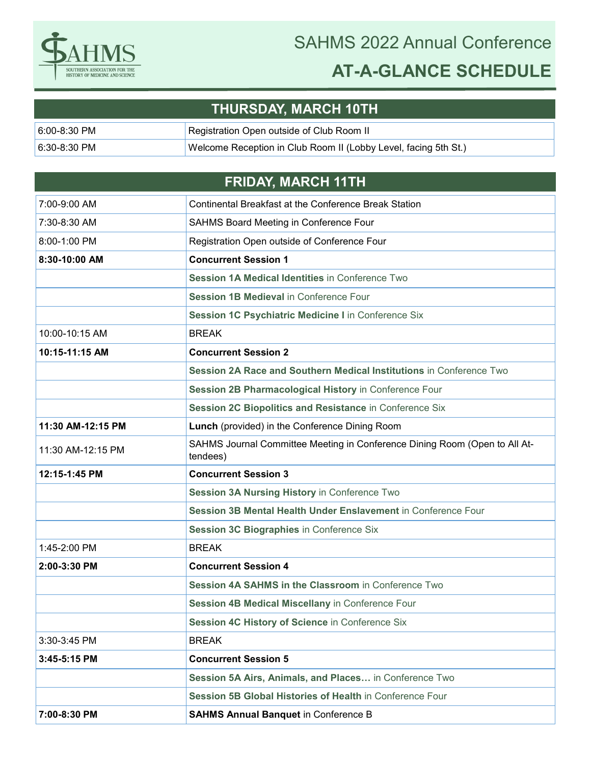

## SAHMS 2022 Annual Conference **AT-A-GLANCE SCHEDULE**

## **THURSDAY, MARCH 10TH**

| $6:00-8:30$ PM | Registration Open outside of Club Room II                       |
|----------------|-----------------------------------------------------------------|
| $6:30-8:30$ PM | Welcome Reception in Club Room II (Lobby Level, facing 5th St.) |

## **FRIDAY, MARCH 11TH**

| 7:00-9:00 AM      | <b>Continental Breakfast at the Conference Break Station</b>                           |
|-------------------|----------------------------------------------------------------------------------------|
| 7:30-8:30 AM      | SAHMS Board Meeting in Conference Four                                                 |
| 8:00-1:00 PM      | Registration Open outside of Conference Four                                           |
| 8:30-10:00 AM     | <b>Concurrent Session 1</b>                                                            |
|                   | Session 1A Medical Identities in Conference Two                                        |
|                   | Session 1B Medieval in Conference Four                                                 |
|                   | Session 1C Psychiatric Medicine I in Conference Six                                    |
| 10:00-10:15 AM    | <b>BREAK</b>                                                                           |
| 10:15-11:15 AM    | <b>Concurrent Session 2</b>                                                            |
|                   | Session 2A Race and Southern Medical Institutions in Conference Two                    |
|                   | Session 2B Pharmacological History in Conference Four                                  |
|                   | Session 2C Biopolitics and Resistance in Conference Six                                |
| 11:30 AM-12:15 PM | Lunch (provided) in the Conference Dining Room                                         |
| 11:30 AM-12:15 PM | SAHMS Journal Committee Meeting in Conference Dining Room (Open to All At-<br>tendees) |
| 12:15-1:45 PM     | <b>Concurrent Session 3</b>                                                            |
|                   | Session 3A Nursing History in Conference Two                                           |
|                   | Session 3B Mental Health Under Enslavement in Conference Four                          |
|                   | Session 3C Biographies in Conference Six                                               |
| 1:45-2:00 PM      | <b>BREAK</b>                                                                           |
| 2:00-3:30 PM      | <b>Concurrent Session 4</b>                                                            |
|                   | Session 4A SAHMS in the Classroom in Conference Two                                    |
|                   | Session 4B Medical Miscellany in Conference Four                                       |
|                   | Session 4C History of Science in Conference Six                                        |
| 3:30-3:45 PM      | <b>BREAK</b>                                                                           |
| 3:45-5:15 PM      | <b>Concurrent Session 5</b>                                                            |
|                   | Session 5A Airs, Animals, and Places in Conference Two                                 |
|                   | Session 5B Global Histories of Health in Conference Four                               |
| 7:00-8:30 PM      | <b>SAHMS Annual Banquet in Conference B</b>                                            |